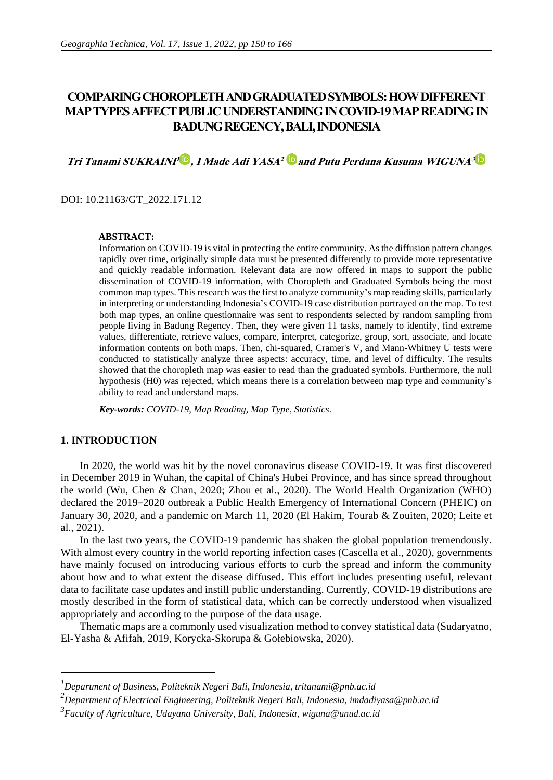# **COMPARING CHOROPLETH AND GRADUATED SYMBOLS: HOW DIFFERENT MAP TYPESAFFECT PUBLIC UNDERSTANDING IN COVID-19 MAP READING IN BADUNG REGENCY, BALI, INDONESIA**

**Tri Tanami SUKRAINI [1](https://orcid.org/0000-0002-0853-3157) , I Made Adi YASA<sup>2</sup> and Putu Perdana Kusuma WIGUNA[3](https://orcid.org/0000-0002-6311-3892)**

DOI: [10.21163/GT\\_2022.171.12](http://dx.doi.org/10.21163/GT_2022.171.12)

#### **ABSTRACT:**

Information on COVID-19 is vital in protecting the entire community. As the diffusion pattern changes rapidly over time, originally simple data must be presented differently to provide more representative and quickly readable information. Relevant data are now offered in maps to support the public dissemination of COVID-19 information, with Choropleth and Graduated Symbols being the most common map types. This research was the first to analyze community's map reading skills, particularly in interpreting or understanding Indonesia's COVID-19 case distribution portrayed on the map. To test both map types, an online questionnaire was sent to respondents selected by random sampling from people living in Badung Regency. Then, they were given 11 tasks, namely to identify, find extreme values, differentiate, retrieve values, compare, interpret, categorize, group, sort, associate, and locate information contents on both maps. Then, chi-squared, Cramer's V, and Mann-Whitney U tests were conducted to statistically analyze three aspects: accuracy, time, and level of difficulty. The results showed that the choropleth map was easier to read than the graduated symbols. Furthermore, the null hypothesis (H0) was rejected, which means there is a correlation between map type and community's ability to read and understand maps.

*Key-words: COVID-19, Map Reading, Map Type, Statistics.*

# **1. INTRODUCTION**

In 2020, the world was hit by the novel coronavirus disease COVID-19. It was first discovered in December 2019 in Wuhan, the capital of China's Hubei Province, and has since spread throughout the world (Wu, Chen & Chan, 2020; Zhou et al., 2020). The World Health Organization (WHO) declared the 2019–2020 outbreak a Public Health Emergency of International Concern (PHEIC) on January 30, 2020, and a pandemic on March 11, 2020 (El Hakim, Tourab & Zouiten, 2020; Leite et al., 2021).

In the last two years, the COVID-19 pandemic has shaken the global population tremendously. With almost every country in the world reporting infection cases (Cascella et al., 2020), governments have mainly focused on introducing various efforts to curb the spread and inform the community about how and to what extent the disease diffused. This effort includes presenting useful, relevant data to facilitate case updates and instill public understanding. Currently, COVID-19 distributions are mostly described in the form of statistical data, which can be correctly understood when visualized appropriately and according to the purpose of the data usage.

Thematic maps are a commonly used visualization method to convey statistical data (Sudaryatno, El-Yasha & Afifah, 2019, Korycka-Skorupa & Gołebiowska, 2020).

*<sup>1</sup>Department of Business, Politeknik Negeri Bali, Indonesia, tritanami@pnb.ac.id* 

*<sup>2</sup>Department of Electrical Engineering, Politeknik Negeri Bali, Indonesia, imdadiyasa@pnb.ac.id*

*<sup>3</sup> Faculty of Agriculture, Udayana University, Bali, Indonesia, wiguna@unud.ac.id*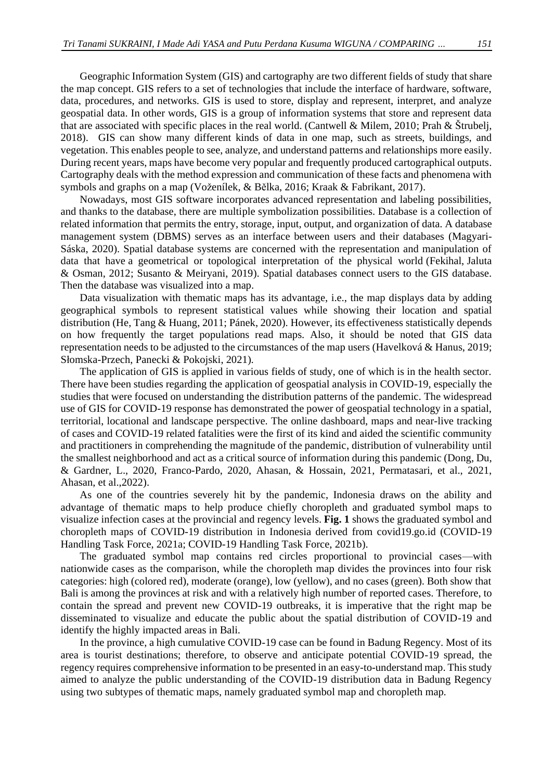Geographic Information System (GIS) and cartography are two different fields of study that share the map concept. GIS refers to a set of technologies that include the interface of hardware, software, data, procedures, and networks. GIS is used to store, display and represent, interpret, and analyze geospatial data. In other words, GIS is a group of information systems that store and represent data that are associated with specific places in the real world. (Cantwell & Milem, 2010; Prah & Štrubelj, 2018). GIS can show many different kinds of data in one map, such as streets, buildings, and vegetation. This enables people to see, analyze, and understand patterns and relationships more easily. During recent years, maps have become very popular and frequently produced cartographical outputs. Cartography deals with the method expression and communication of these facts and phenomena with symbols and graphs on a map (Voženílek, & Bělka, 2016; Kraak & Fabrikant, 2017).

Nowadays, most GIS software incorporates advanced representation and labeling possibilities, and thanks to the database, there are multiple symbolization possibilities. Database is a collection of related information that permits the entry, storage, input, output, and organization of data. A database management system (DBMS) serves as an interface between users and their databases (Magyari-Sáska, 2020). Spatial database systems are concerned with the representation and manipulation of data that have a geometrical or topological interpretation of the physical world (Fekihal, Jaluta & Osman, 2012; Susanto & Meiryani, 2019). Spatial databases connect users to the GIS database. Then the database was visualized into a map.

Data visualization with thematic maps has its advantage, i.e., the map displays data by adding geographical symbols to represent statistical values while showing their location and spatial distribution (He, Tang & Huang, 2011; Pánek, 2020). However, its effectiveness statistically depends on how frequently the target populations read maps. Also, it should be noted that GIS data representation needs to be adjusted to the circumstances of the map users (Havelková & Hanus, 2019; Słomska-Przech, Panecki & Pokojski, 2021).

The application of GIS is applied in various fields of study, one of which is in the health sector. There have been studies regarding the application of geospatial analysis in COVID-19, especially the studies that were focused on understanding the distribution patterns of the pandemic. The widespread use of GIS for COVID-19 response has demonstrated the power of geospatial technology in a spatial, territorial, locational and landscape perspective. The online dashboard, maps and near-live tracking of cases and COVID-19 related fatalities were the first of its kind and aided the scientific community and practitioners in comprehending the magnitude of the pandemic, distribution of vulnerability until the smallest neighborhood and act as a critical source of information during this pandemic (Dong, Du, & Gardner, L., 2020, Franco-Pardo, 2020, Ahasan, & Hossain, 2021, Permatasari, et al., 2021, Ahasan, et al.,2022).

As one of the countries severely hit by the pandemic, Indonesia draws on the ability and advantage of thematic maps to help produce chiefly choropleth and graduated symbol maps to visualize infection cases at the provincial and regency levels. **Fig. 1** shows the graduated symbol and choropleth maps of COVID-19 distribution in Indonesia derived from covid19.go.id (COVID-19 Handling Task Force, 2021a; COVID-19 Handling Task Force, 2021b).

The graduated symbol map contains red circles proportional to provincial cases—with nationwide cases as the comparison, while the choropleth map divides the provinces into four risk categories: high (colored red), moderate (orange), low (yellow), and no cases (green). Both show that Bali is among the provinces at risk and with a relatively high number of reported cases. Therefore, to contain the spread and prevent new COVID-19 outbreaks, it is imperative that the right map be disseminated to visualize and educate the public about the spatial distribution of COVID-19 and identify the highly impacted areas in Bali.

In the province, a high cumulative COVID-19 case can be found in Badung Regency. Most of its area is tourist destinations; therefore, to observe and anticipate potential COVID-19 spread, the regency requires comprehensive information to be presented in an easy-to-understand map. This study aimed to analyze the public understanding of the COVID-19 distribution data in Badung Regency using two subtypes of thematic maps, namely graduated symbol map and choropleth map.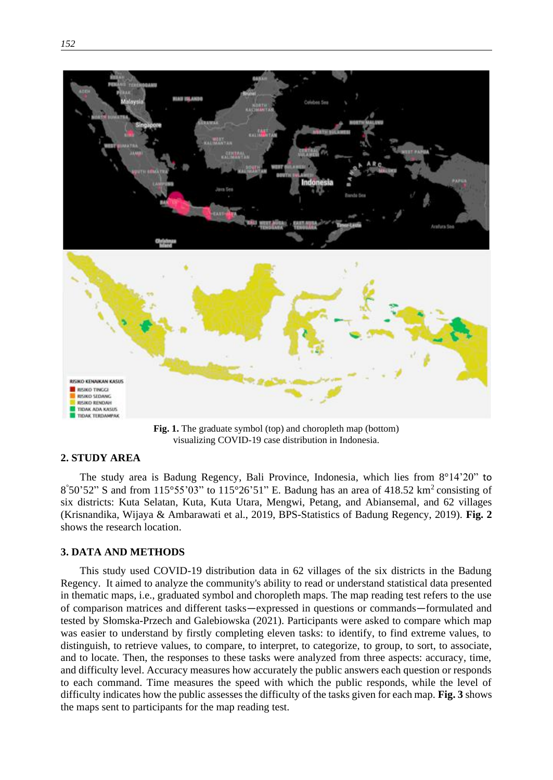

**Fig. 1.** The graduate symbol (top) and choropleth map (bottom) visualizing COVID-19 case distribution in Indonesia.

# **2. STUDY AREA**

The study area is Badung Regency, Bali Province, Indonesia, which lies from 8°14'20" to  $8\degree50\degree52\degree$  S and from 115°55'03" to 115°26'51" E. Badung has an area of 418.52 km<sup>2</sup> consisting of six districts: Kuta Selatan, Kuta, Kuta Utara, Mengwi, Petang, and Abiansemal, and 62 villages (Krisnandika, Wijaya & Ambarawati et al., 2019, BPS-Statistics of Badung Regency, 2019). **Fig. 2** shows the research location.

## **3. DATA AND METHODS**

This study used COVID-19 distribution data in 62 villages of the six districts in the Badung Regency. It aimed to analyze the community's ability to read or understand statistical data presented in thematic maps, i.e., graduated symbol and choropleth maps. The map reading test refers to the use of comparison matrices and different tasks—expressed in questions or commands—formulated and tested by Słomska-Przech and Galebiowska (2021). Participants were asked to compare which map was easier to understand by firstly completing eleven tasks: to identify, to find extreme values, to distinguish, to retrieve values, to compare, to interpret, to categorize, to group, to sort, to associate, and to locate. Then, the responses to these tasks were analyzed from three aspects: accuracy, time, and difficulty level. Accuracy measures how accurately the public answers each question or responds to each command. Time measures the speed with which the public responds, while the level of difficulty indicates how the public assesses the difficulty of the tasks given for each map. **Fig. 3** shows the maps sent to participants for the map reading test.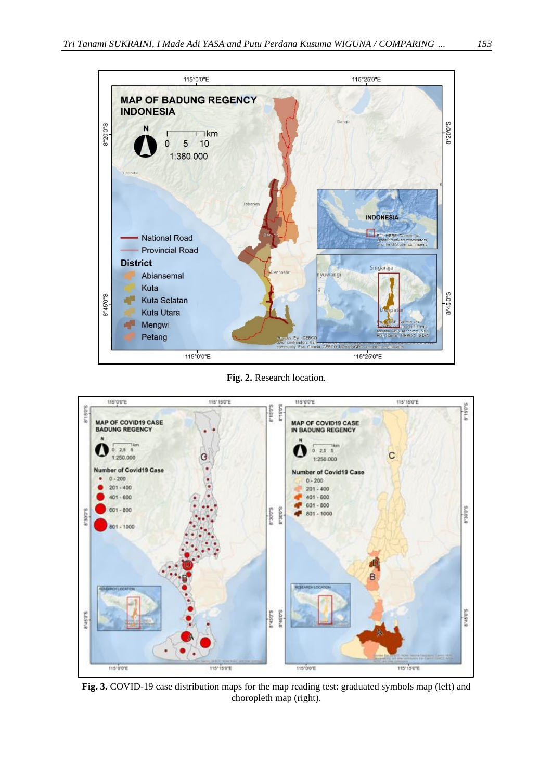

**Fig. 2.** Research location.



**Fig. 3.** COVID-19 case distribution maps for the map reading test: graduated symbols map (left) and choropleth map (right).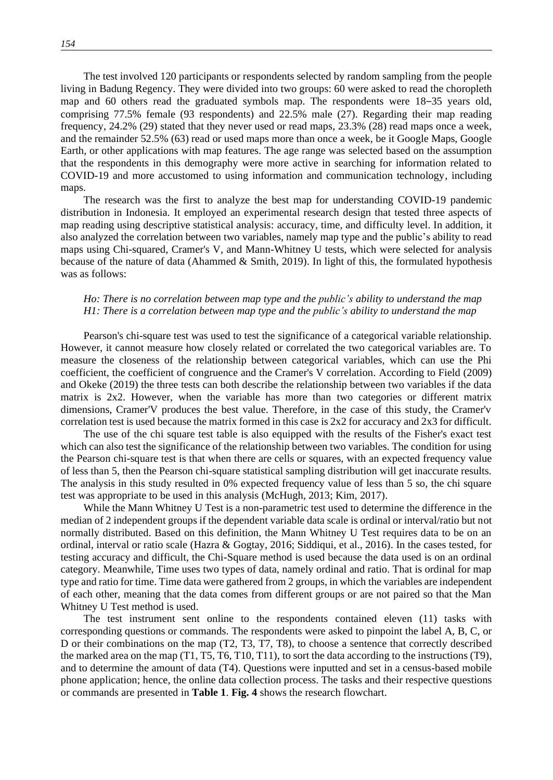The test involved 120 participants or respondents selected by random sampling from the people living in Badung Regency. They were divided into two groups: 60 were asked to read the choropleth map and 60 others read the graduated symbols map. The respondents were 18–35 years old, comprising 77.5% female (93 respondents) and 22.5% male (27). Regarding their map reading frequency, 24.2% (29) stated that they never used or read maps, 23.3% (28) read maps once a week, and the remainder 52.5% (63) read or used maps more than once a week, be it Google Maps, Google Earth, or other applications with map features. The age range was selected based on the assumption that the respondents in this demography were more active in searching for information related to COVID-19 and more accustomed to using information and communication technology, including maps.

The research was the first to analyze the best map for understanding COVID-19 pandemic distribution in Indonesia. It employed an experimental research design that tested three aspects of map reading using descriptive statistical analysis: accuracy, time, and difficulty level. In addition, it also analyzed the correlation between two variables, namely map type and the public's ability to read maps using Chi-squared, Cramer's V, and Mann-Whitney U tests, which were selected for analysis because of the nature of data (Ahammed  $\&$  Smith, 2019). In light of this, the formulated hypothesis was as follows:

## *Ho: There is no correlation between map type and the public's ability to understand the map H1: There is a correlation between map type and the public's ability to understand the map*

Pearson's chi-square test was used to test the significance of a categorical variable relationship. However, it cannot measure how closely related or correlated the two categorical variables are. To measure the closeness of the relationship between categorical variables, which can use the Phi coefficient, the coefficient of congruence and the Cramer's V correlation. According to Field (2009) and Okeke (2019) the three tests can both describe the relationship between two variables if the data matrix is 2x2. However, when the variable has more than two categories or different matrix dimensions, Cramer'V produces the best value. Therefore, in the case of this study, the Cramer'v correlation test is used because the matrix formed in this case is 2x2 for accuracy and 2x3 for difficult.

The use of the chi square test table is also equipped with the results of the Fisher's exact test which can also test the significance of the relationship between two variables. The condition for using the Pearson chi-square test is that when there are cells or squares, with an expected frequency value of less than 5, then the Pearson chi-square statistical sampling distribution will get inaccurate results. The analysis in this study resulted in 0% expected frequency value of less than 5 so, the chi square test was appropriate to be used in this analysis (McHugh, 2013; Kim, 2017).

While the Mann Whitney U Test is a non-parametric test used to determine the difference in the median of 2 independent groups if the dependent variable data scale is ordinal or interval/ratio but not normally distributed. Based on this definition, the Mann Whitney U Test requires data to be on an ordinal, interval or ratio scale (Hazra & Gogtay, 2016; Siddiqui, et al., 2016). In the cases tested, for testing accuracy and difficult, the Chi-Square method is used because the data used is on an ordinal category. Meanwhile, Time uses two types of data, namely ordinal and ratio. That is ordinal for map type and ratio for time. Time data were gathered from 2 groups, in which the variables are independent of each other, meaning that the data comes from different groups or are not paired so that the Man Whitney U Test method is used.

The test instrument sent online to the respondents contained eleven (11) tasks with corresponding questions or commands. The respondents were asked to pinpoint the label A, B, C, or D or their combinations on the map (T2, T3, T7, T8), to choose a sentence that correctly described the marked area on the map (T1, T5, T6, T10, T11), to sort the data according to the instructions (T9), and to determine the amount of data (T4). Questions were inputted and set in a census-based mobile phone application; hence, the online data collection process. The tasks and their respective questions or commands are presented in **Table 1**. **Fig. 4** shows the research flowchart.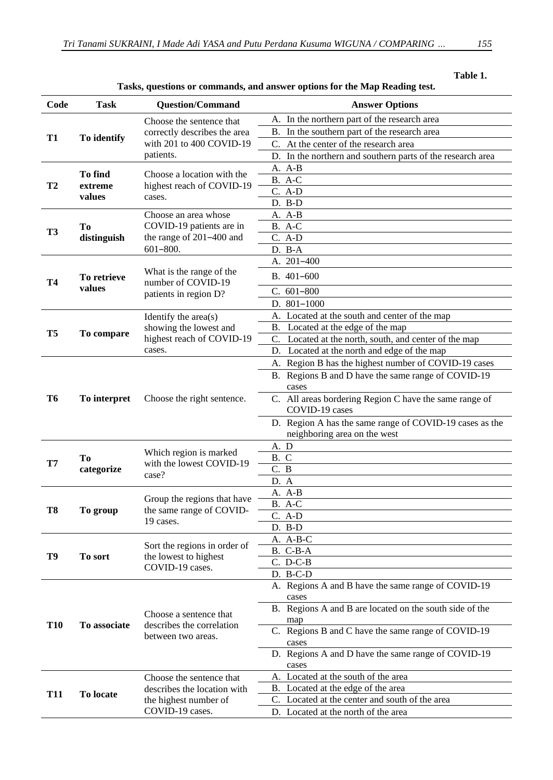| ×                | × |
|------------------|---|
| ٦<br>I<br>$\sim$ |   |

| Code<br><b>Question/Command</b><br>Task                                  | <b>Answer Options</b>                                                                               |
|--------------------------------------------------------------------------|-----------------------------------------------------------------------------------------------------|
| Choose the sentence that                                                 | A. In the northern part of the research area                                                        |
| correctly describes the area                                             | B. In the southern part of the research area                                                        |
| T1<br>To identify<br>with 201 to 400 COVID-19                            | C. At the center of the research area                                                               |
| patients.                                                                | D. In the northern and southern parts of the research area                                          |
| To find                                                                  | A. A-B                                                                                              |
| Choose a location with the<br>highest reach of COVID-19<br>T2<br>extreme | <b>B.</b> A-C                                                                                       |
| values<br>cases.                                                         | C. A-D                                                                                              |
|                                                                          | $D. B-D$                                                                                            |
| Choose an area whose                                                     | A. A-B                                                                                              |
| COVID-19 patients are in<br>Tо<br>T3                                     | <b>B.</b> A-C                                                                                       |
| distinguish<br>the range of 201-400 and<br>$601 - 800.$                  | $C. A-D$<br>D. B-A                                                                                  |
|                                                                          | A. 201-400                                                                                          |
| What is the range of the                                                 |                                                                                                     |
| To retrieve<br><b>T4</b><br>number of COVID-19                           | $B.401 - 600$                                                                                       |
| values<br>patients in region D?                                          | $C. 601-800$                                                                                        |
|                                                                          | D. $801-1000$                                                                                       |
| Identify the $area(s)$                                                   | A. Located at the south and center of the map                                                       |
| showing the lowest and<br>T5<br>To compare                               | B. Located at the edge of the map                                                                   |
| highest reach of COVID-19<br>cases.                                      | C. Located at the north, south, and center of the map                                               |
|                                                                          | D. Located at the north and edge of the map<br>A. Region B has the highest number of COVID-19 cases |
|                                                                          | B. Regions B and D have the same range of COVID-19                                                  |
|                                                                          | cases                                                                                               |
| <b>T6</b><br>To interpret<br>Choose the right sentence.                  | C. All areas bordering Region C have the same range of                                              |
|                                                                          | COVID-19 cases                                                                                      |
|                                                                          | D. Region A has the same range of COVID-19 cases as the                                             |
|                                                                          | neighboring area on the west                                                                        |
|                                                                          | A. D                                                                                                |
| Which region is marked<br>Tо<br>with the lowest COVID-19<br>Т7           | B. C                                                                                                |
| categorize<br>case?                                                      | C. B                                                                                                |
|                                                                          | D. A                                                                                                |
| Group the regions that have                                              | A. A-B                                                                                              |
| T8<br>the same range of COVID-<br>To group                               | B. A-C<br>C. A-D                                                                                    |
| 19 cases.                                                                | D. B-D                                                                                              |
|                                                                          | A. A-B-C                                                                                            |
| Sort the regions in order of                                             | B. C-B-A                                                                                            |
| T9<br><b>To sort</b><br>the lowest to highest                            | $C.$ D-C-B                                                                                          |
| COVID-19 cases.                                                          | $D. B-C-D$                                                                                          |
|                                                                          | A. Regions A and B have the same range of COVID-19                                                  |
|                                                                          | cases                                                                                               |
| Choose a sentence that                                                   | B. Regions A and B are located on the south side of the                                             |
| <b>T10</b><br>To associate<br>describes the correlation                  | map                                                                                                 |
| between two areas.                                                       | C. Regions B and C have the same range of COVID-19<br>cases                                         |
|                                                                          | D. Regions A and D have the same range of COVID-19                                                  |
|                                                                          | cases                                                                                               |
| Choose the sentence that                                                 | A. Located at the south of the area                                                                 |
| describes the location with                                              | B. Located at the edge of the area                                                                  |
| To locate<br>T11<br>the highest number of                                | C. Located at the center and south of the area                                                      |
| COVID-19 cases.                                                          | D. Located at the north of the area                                                                 |

|                                                                            | Table 1. |
|----------------------------------------------------------------------------|----------|
| Tasks, questions or commands, and answer options for the Map Reading test. |          |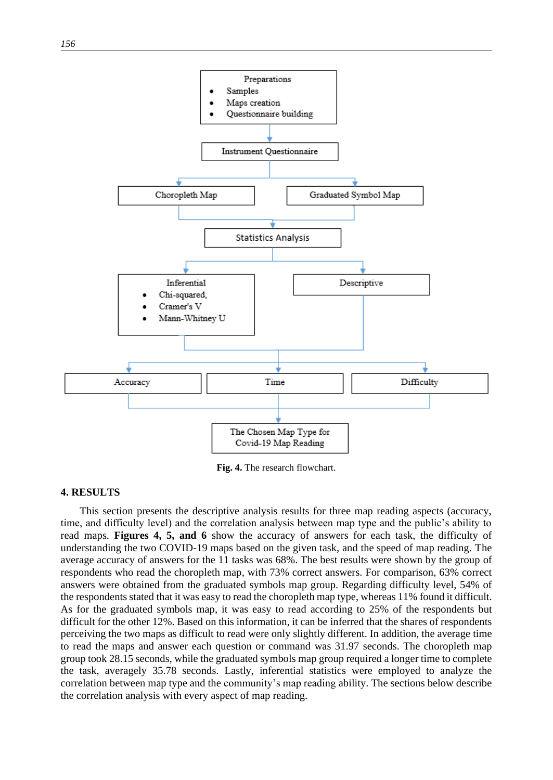

**Fig. 4.** The research flowchart.

## **4. RESULTS**

This section presents the descriptive analysis results for three map reading aspects (accuracy, time, and difficulty level) and the correlation analysis between map type and the public's ability to read maps. **Figures 4, 5, and 6** show the accuracy of answers for each task, the difficulty of understanding the two COVID-19 maps based on the given task, and the speed of map reading. The average accuracy of answers for the 11 tasks was 68%. The best results were shown by the group of respondents who read the choropleth map, with 73% correct answers. For comparison, 63% correct answers were obtained from the graduated symbols map group. Regarding difficulty level, 54% of the respondents stated that it was easy to read the choropleth map type, whereas 11% found it difficult. As for the graduated symbols map, it was easy to read according to 25% of the respondents but difficult for the other 12%. Based on this information, it can be inferred that the shares of respondents perceiving the two maps as difficult to read were only slightly different. In addition, the average time to read the maps and answer each question or command was 31.97 seconds. The choropleth map group took 28.15 seconds, while the graduated symbols map group required a longer time to complete the task, averagely 35.78 seconds. Lastly, inferential statistics were employed to analyze the correlation between map type and the community's map reading ability. The sections below describe the correlation analysis with every aspect of map reading.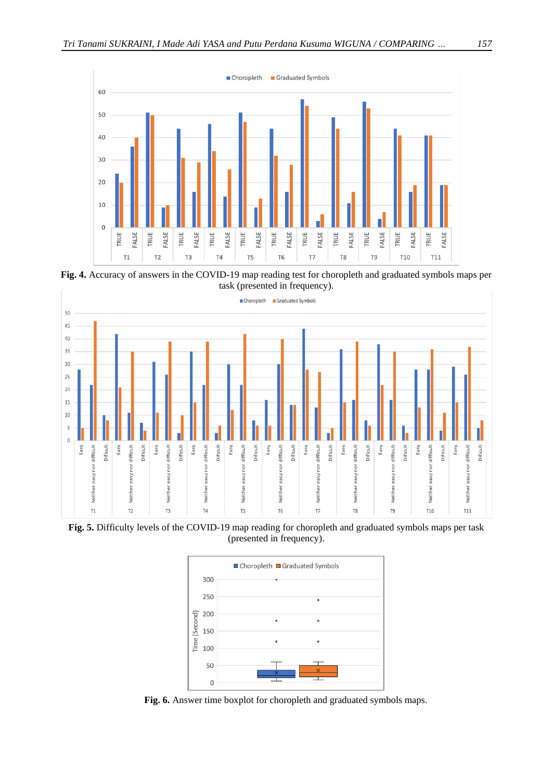

**Fig. 4.** Accuracy of answers in the COVID-19 map reading test for choropleth and graduated symbols maps per task (presented in frequency).



**Fig. 5.** Difficulty levels of the COVID-19 map reading for choropleth and graduated symbols maps per task (presented in frequency).



**Fig. 6.** Answer time boxplot for choropleth and graduated symbols maps.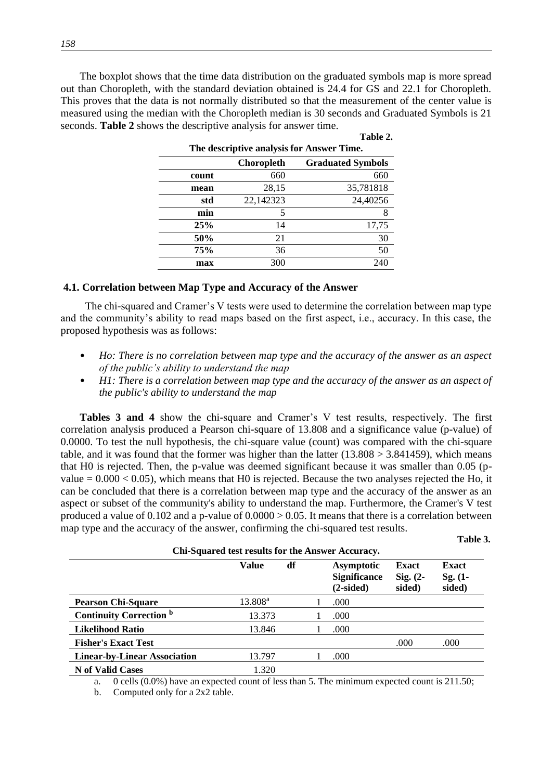The boxplot shows that the time data distribution on the graduated symbols map is more spread out than Choropleth, with the standard deviation obtained is 24.4 for GS and 22.1 for Choropleth. This proves that the data is not normally distributed so that the measurement of the center value is measured using the median with the Choropleth median is 30 seconds and Graduated Symbols is 21 seconds. **Table 2** shows the descriptive analysis for answer time.

| The descriptive analysis for Answer Time. |                                        |           |  |  |  |
|-------------------------------------------|----------------------------------------|-----------|--|--|--|
|                                           | Choropleth<br><b>Graduated Symbols</b> |           |  |  |  |
| count                                     | 660                                    | 660       |  |  |  |
| mean                                      | 28,15                                  | 35,781818 |  |  |  |
| std                                       | 22,142323                              | 24,40256  |  |  |  |
| min                                       | 5                                      | 8         |  |  |  |
| 25%                                       | 14                                     | 17,75     |  |  |  |
| 50%                                       | 21                                     | 30        |  |  |  |
| <b>75%</b>                                | 36                                     | 50        |  |  |  |
| max                                       | 300                                    | 240       |  |  |  |

|                                           | Table 2. |
|-------------------------------------------|----------|
| The descriptive analysis for Answer Time. |          |

## **4.1. Correlation between Map Type and Accuracy of the Answer**

 The chi-squared and Cramer's V tests were used to determine the correlation between map type and the community's ability to read maps based on the first aspect, i.e., accuracy. In this case, the proposed hypothesis was as follows:

- *Ho: There is no correlation between map type and the accuracy of the answer as an aspect of the public's ability to understand the map*
- *H1: There is a correlation between map type and the accuracy of the answer as an aspect of the public's ability to understand the map*

**Tables 3 and 4** show the chi-square and Cramer's V test results, respectively. The first correlation analysis produced a Pearson chi-square of 13.808 and a significance value (p-value) of 0.0000. To test the null hypothesis, the chi-square value (count) was compared with the chi-square table, and it was found that the former was higher than the latter  $(13.808 > 3.841459)$ , which means that H0 is rejected. Then, the p-value was deemed significant because it was smaller than 0.05 (pvalue  $= 0.000 < 0.05$ ), which means that H0 is rejected. Because the two analyses rejected the Ho, it can be concluded that there is a correlation between map type and the accuracy of the answer as an aspect or subset of the community's ability to understand the map. Furthermore, the Cramer's V test produced a value of  $0.102$  and a p-value of  $0.0000 > 0.05$ . It means that there is a correlation between map type and the accuracy of the answer, confirming the chi-squared test results.

|                                     | Chi-Squared test results for the Answer Accuracy. |    |                                                  |                                | Table 3.                             |
|-------------------------------------|---------------------------------------------------|----|--------------------------------------------------|--------------------------------|--------------------------------------|
|                                     | <b>Value</b>                                      | df | Asymptotic<br><b>Significance</b><br>$(2-sided)$ | Exact<br>$Sig. (2 -$<br>sided) | <b>Exact</b><br>$Sg. (1 -$<br>sided) |
| <b>Pearson Chi-Square</b>           | 13.808 <sup>a</sup>                               |    | .000                                             |                                |                                      |
| <b>Continuity Correction</b> b      | 13.373                                            |    | .000                                             |                                |                                      |
| <b>Likelihood Ratio</b>             | 13.846                                            |    | .000                                             |                                |                                      |
| <b>Fisher's Exact Test</b>          |                                                   |    |                                                  | .000                           | .000                                 |
| <b>Linear-by-Linear Association</b> | 13.797                                            |    | .000                                             |                                |                                      |
| <b>N</b> of Valid Cases             | 1.320                                             |    |                                                  |                                |                                      |
|                                     |                                                   |    | $\sim$ $\sim$                                    |                                | .                                    |

a. 0 cells (0.0%) have an expected count of less than 5. The minimum expected count is 211.50;

b. Computed only for a 2x2 table.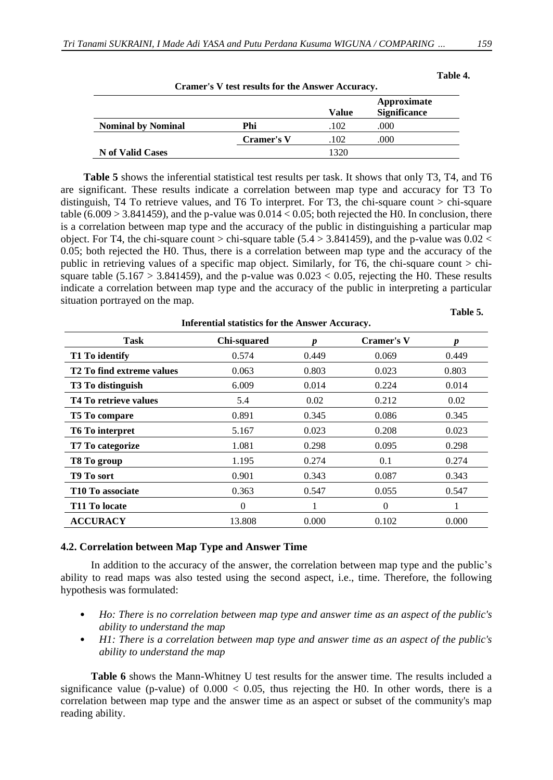|                           | Cramer's V test results for the Answer Accuracy. |       | Table 4.                           |
|---------------------------|--------------------------------------------------|-------|------------------------------------|
|                           |                                                  | Value | Approximate<br><b>Significance</b> |
| <b>Nominal by Nominal</b> | Phi                                              | .102  | .000                               |
|                           | <b>Cramer's V</b>                                | .102  | .000                               |
| N of Valid Cases          |                                                  | 1320  |                                    |

**Table 5** shows the inferential statistical test results per task. It shows that only T3, T4, and T6 are significant. These results indicate a correlation between map type and accuracy for T3 To distinguish, T4 To retrieve values, and T6 To interpret. For T3, the chi-square count > chi-square table  $(6.009 > 3.841459)$ , and the p-value was  $0.014 < 0.05$ ; both rejected the H0. In conclusion, there is a correlation between map type and the accuracy of the public in distinguishing a particular map object. For T4, the chi-square count  $>$  chi-square table (5.4  $>$  3.841459), and the p-value was 0.02  $<$ 0.05; both rejected the H0. Thus, there is a correlation between map type and the accuracy of the public in retrieving values of a specific map object. Similarly, for T6, the chi-square count > chisquare table  $(5.167 > 3.841459)$ , and the p-value was  $0.023 < 0.05$ , rejecting the H0. These results indicate a correlation between map type and the accuracy of the public in interpreting a particular situation portrayed on the map.

**Inferential statistics for the Answer Accuracy.**

 **Table 5. Table 5. Table 5. Table 5. Table 5. Table 5. Table 5. Table 5. Table 5. Table 5. Table 5. Table 5. Table 5. Table 5. Table 5. Table 5. Table 5. Table 5. Table 3. Table 3.**

|                                       | Imerential statistics for the Allswer Accuracy. |       |            |       |
|---------------------------------------|-------------------------------------------------|-------|------------|-------|
| Task                                  | Chi-squared                                     | p     | Cramer's V | D     |
| T1 To identify                        | 0.574                                           | 0.449 | 0.069      | 0.449 |
| T <sub>2</sub> To find extreme values | 0.063                                           | 0.803 | 0.023      | 0.803 |
| T <sub>3</sub> To distinguish         | 6.009                                           | 0.014 | 0.224      | 0.014 |
| <b>T4 To retrieve values</b>          | 5.4                                             | 0.02  | 0.212      | 0.02  |
| T5 To compare                         | 0.891                                           | 0.345 | 0.086      | 0.345 |
| T6 To interpret                       | 5.167                                           | 0.023 | 0.208      | 0.023 |
| T7 To categorize                      | 1.081                                           | 0.298 | 0.095      | 0.298 |
| T8 To group                           | 1.195                                           | 0.274 | 0.1        | 0.274 |
| T9 To sort                            | 0.901                                           | 0.343 | 0.087      | 0.343 |
| T <sub>10</sub> To associate          | 0.363                                           | 0.547 | 0.055      | 0.547 |
| T11 To locate                         | $\mathbf{0}$                                    |       | $\Omega$   |       |
| <b>ACCURACY</b>                       | 13.808                                          | 0.000 | 0.102      | 0.000 |

#### **4.2. Correlation between Map Type and Answer Time**

In addition to the accuracy of the answer, the correlation between map type and the public's ability to read maps was also tested using the second aspect, i.e., time. Therefore, the following hypothesis was formulated:

- *Ho: There is no correlation between map type and answer time as an aspect of the public's ability to understand the map*
- *H1: There is a correlation between map type and answer time as an aspect of the public's ability to understand the map*

**Table 6** shows the Mann-Whitney U test results for the answer time. The results included a significance value (p-value) of  $0.000 < 0.05$ , thus rejecting the H0. In other words, there is a correlation between map type and the answer time as an aspect or subset of the community's map reading ability.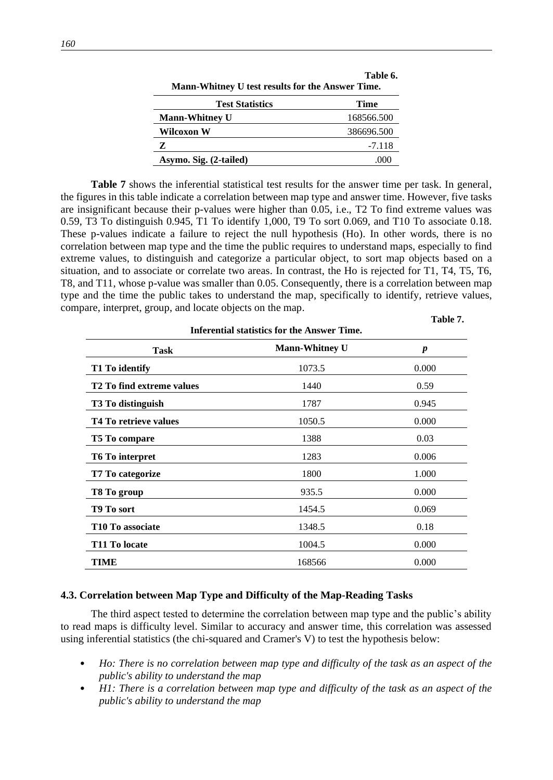| Mann-Whitney U test results for the Answer Time. | Table 6.   |
|--------------------------------------------------|------------|
| <b>Test Statistics</b>                           | Time       |
| <b>Mann-Whitney U</b>                            | 168566.500 |
| Wilcoxon W                                       | 386696.500 |
| 7.                                               | $-7.118$   |
| Asymo. Sig. (2-tailed)                           |            |

**Table 7** shows the inferential statistical test results for the answer time per task. In general, the figures in this table indicate a correlation between map type and answer time. However, five tasks are insignificant because their p-values were higher than 0.05, i.e., T2 To find extreme values was 0.59, T3 To distinguish 0.945, T1 To identify 1,000, T9 To sort 0.069, and T10 To associate 0.18. These p-values indicate a failure to reject the null hypothesis (Ho). In other words, there is no correlation between map type and the time the public requires to understand maps, especially to find extreme values, to distinguish and categorize a particular object, to sort map objects based on a situation, and to associate or correlate two areas. In contrast, the Ho is rejected for T1, T4, T5, T6, T8, and T11, whose p-value was smaller than 0.05. Consequently, there is a correlation between map type and the time the public takes to understand the map, specifically to identify, retrieve values, compare, interpret, group, and locate objects on the map.

 **Table 7. Table 7.** 

| <b>Inferential statistics for the Answer Time.</b>       |        |       |  |  |  |
|----------------------------------------------------------|--------|-------|--|--|--|
| <b>Mann-Whitney U</b><br>$\boldsymbol{p}$<br><b>Task</b> |        |       |  |  |  |
| T1 To identify                                           | 1073.5 | 0.000 |  |  |  |
| T <sub>2</sub> To find extreme values                    | 1440   | 0.59  |  |  |  |
| T3 To distinguish                                        | 1787   | 0.945 |  |  |  |
| <b>T4 To retrieve values</b>                             | 1050.5 | 0.000 |  |  |  |
| T5 To compare                                            | 1388   | 0.03  |  |  |  |
| T6 To interpret                                          | 1283   | 0.006 |  |  |  |
| T7 To categorize                                         | 1800   | 1.000 |  |  |  |
| T8 To group                                              | 935.5  | 0.000 |  |  |  |
| T9 To sort                                               | 1454.5 | 0.069 |  |  |  |
| T <sub>10</sub> To associate                             | 1348.5 | 0.18  |  |  |  |
| T11 To locate                                            | 1004.5 | 0.000 |  |  |  |
| TIME                                                     | 168566 | 0.000 |  |  |  |

#### **4.3. Correlation between Map Type and Difficulty of the Map-Reading Tasks**

The third aspect tested to determine the correlation between map type and the public's ability to read maps is difficulty level. Similar to accuracy and answer time, this correlation was assessed using inferential statistics (the chi-squared and Cramer's V) to test the hypothesis below:

- *Ho: There is no correlation between map type and difficulty of the task as an aspect of the public's ability to understand the map*
- *H1: There is a correlation between map type and difficulty of the task as an aspect of the public's ability to understand the map*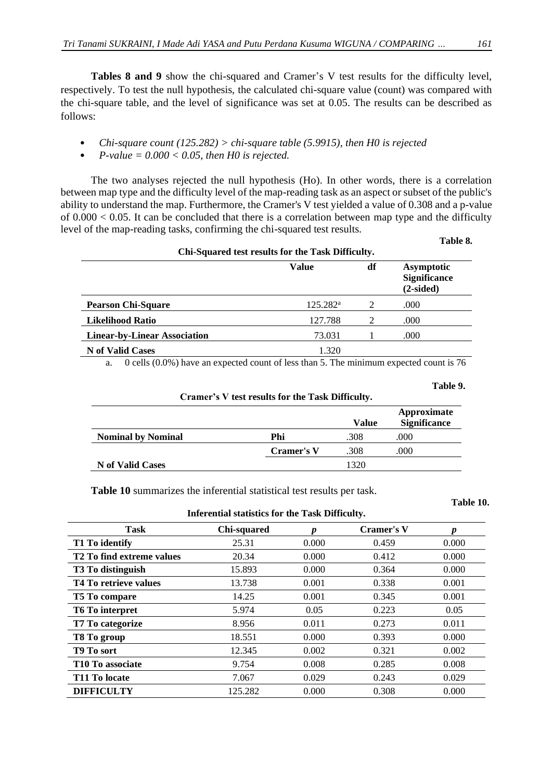**Tables 8 and 9** show the chi-squared and Cramer's V test results for the difficulty level, respectively. To test the null hypothesis, the calculated chi-square value (count) was compared with the chi-square table, and the level of significance was set at 0.05. The results can be described as follows:

- *Chi-square count (125.282) > chi-square table (5.9915), then H0 is rejected*
- $P-value = 0.000 < 0.05$ , then H0 is rejected.

The two analyses rejected the null hypothesis (Ho). In other words, there is a correlation between map type and the difficulty level of the map-reading task as an aspect or subset of the public's ability to understand the map. Furthermore, the Cramer's V test yielded a value of 0.308 and a p-value of  $0.000 < 0.05$ . It can be concluded that there is a correlation between map type and the difficulty level of the map-reading tasks, confirming the chi-squared test results.

**Table 8. Table 8.** 

| Chi-Squared test results for the Task Difficulty. |                   |    |                                           |  |  |
|---------------------------------------------------|-------------------|----|-------------------------------------------|--|--|
|                                                   | <b>Value</b>      | df | Asymptotic<br>Significance<br>$(2-sided)$ |  |  |
| <b>Pearson Chi-Square</b>                         | $125.282^{\rm a}$ | 2  | .000                                      |  |  |
| <b>Likelihood Ratio</b>                           | 127.788           | 2  | .000                                      |  |  |
| <b>Linear-by-Linear Association</b>               | 73.031            |    | .000                                      |  |  |
| N of Valid Cases                                  | 1.320             |    |                                           |  |  |

a. 0 cells (0.0%) have an expected count of less than 5. The minimum expected count is 76

|                           | Cramer's V test results for the Task Difficulty. |       | Table 9.                           |
|---------------------------|--------------------------------------------------|-------|------------------------------------|
|                           |                                                  | Value | Approximate<br><b>Significance</b> |
| <b>Nominal by Nominal</b> | Phi                                              | .308  | .000                               |
|                           | Cramer's V                                       | .308  | .000                               |
| <b>N</b> of Valid Cases   |                                                  | 1320  |                                    |

**Table 10** summarizes the inferential statistical test results per task.

|  |  |  |  |  | Inferential statistics for the Task Difficulty. |  |
|--|--|--|--|--|-------------------------------------------------|--|
|--|--|--|--|--|-------------------------------------------------|--|

 **Table 10. Table 10.** 

| <b>Task</b>                                   | Chi-squared | p     | Cramer's V | p     |
|-----------------------------------------------|-------------|-------|------------|-------|
| T1 To identify                                | 25.31       | 0.000 | 0.459      | 0.000 |
| T <sub>2</sub> To find extreme values         | 20.34       | 0.000 | 0.412      | 0.000 |
| T <sub>3</sub> To distinguish                 | 15.893      | 0.000 | 0.364      | 0.000 |
| T <sub>4</sub> T <sub>0</sub> retrieve values | 13.738      | 0.001 | 0.338      | 0.001 |
| T5 To compare                                 | 14.25       | 0.001 | 0.345      | 0.001 |
| T6 To interpret                               | 5.974       | 0.05  | 0.223      | 0.05  |
| T7 To categorize                              | 8.956       | 0.011 | 0.273      | 0.011 |
| T8 To group                                   | 18.551      | 0.000 | 0.393      | 0.000 |
| T9 To sort                                    | 12.345      | 0.002 | 0.321      | 0.002 |
| T <sub>10</sub> To associate                  | 9.754       | 0.008 | 0.285      | 0.008 |
| T <sub>11</sub> To locate                     | 7.067       | 0.029 | 0.243      | 0.029 |
| <b>DIFFICULTY</b>                             | 125.282     | 0.000 | 0.308      | 0.000 |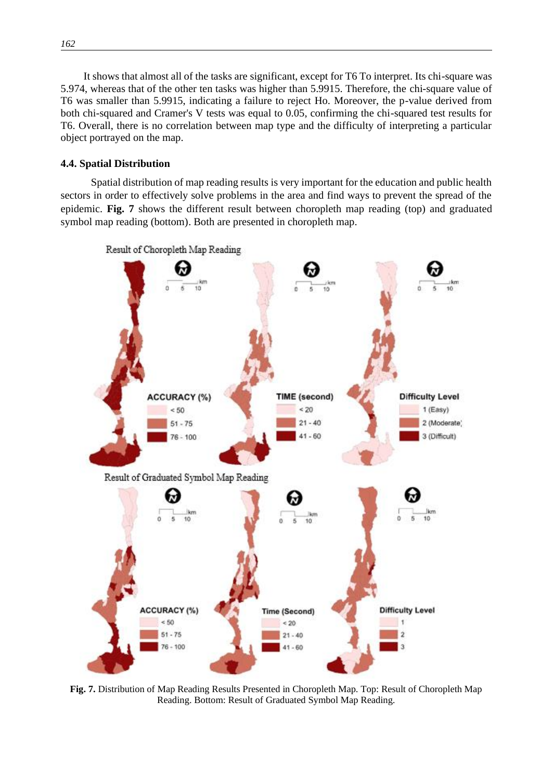It shows that almost all of the tasks are significant, except for T6 To interpret. Its chi-square was 5.974, whereas that of the other ten tasks was higher than 5.9915. Therefore, the chi-square value of T6 was smaller than 5.9915, indicating a failure to reject Ho. Moreover, the p-value derived from both chi-squared and Cramer's V tests was equal to 0.05, confirming the chi-squared test results for T6. Overall, there is no correlation between map type and the difficulty of interpreting a particular object portrayed on the map.

## **4.4. Spatial Distribution**

Spatial distribution of map reading results is very important for the education and public health sectors in order to effectively solve problems in the area and find ways to prevent the spread of the epidemic. **Fig. 7** shows the different result between choropleth map reading (top) and graduated symbol map reading (bottom). Both are presented in choropleth map.



**Fig. 7.** Distribution of Map Reading Results Presented in Choropleth Map. Top: Result of Choropleth Map Reading. Bottom: Result of Graduated Symbol Map Reading.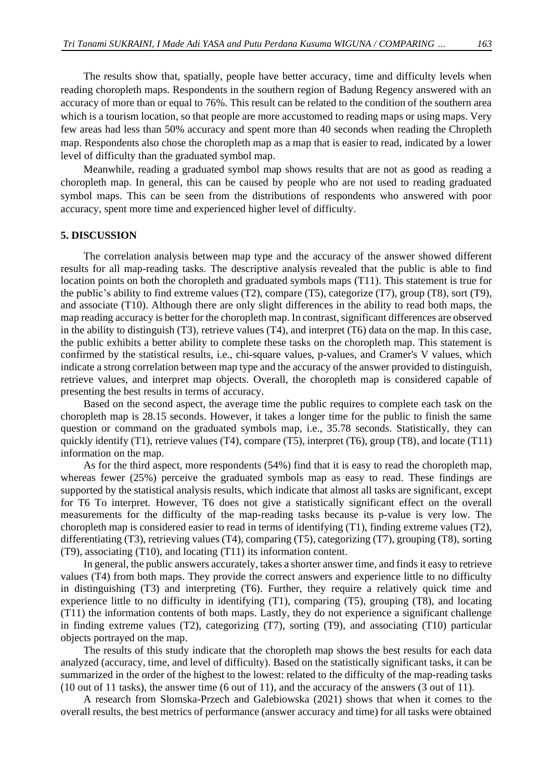The results show that, spatially, people have better accuracy, time and difficulty levels when reading choropleth maps. Respondents in the southern region of Badung Regency answered with an accuracy of more than or equal to 76%. This result can be related to the condition of the southern area which is a tourism location, so that people are more accustomed to reading maps or using maps. Very few areas had less than 50% accuracy and spent more than 40 seconds when reading the Chropleth map. Respondents also chose the choropleth map as a map that is easier to read, indicated by a lower level of difficulty than the graduated symbol map.

Meanwhile, reading a graduated symbol map shows results that are not as good as reading a choropleth map. In general, this can be caused by people who are not used to reading graduated symbol maps. This can be seen from the distributions of respondents who answered with poor accuracy, spent more time and experienced higher level of difficulty.

#### **5. DISCUSSION**

The correlation analysis between map type and the accuracy of the answer showed different results for all map-reading tasks. The descriptive analysis revealed that the public is able to find location points on both the choropleth and graduated symbols maps (T11). This statement is true for the public's ability to find extreme values (T2), compare (T5), categorize (T7), group (T8), sort (T9), and associate (T10). Although there are only slight differences in the ability to read both maps, the map reading accuracy is better for the choropleth map. In contrast, significant differences are observed in the ability to distinguish (T3), retrieve values (T4), and interpret (T6) data on the map. In this case, the public exhibits a better ability to complete these tasks on the choropleth map. This statement is confirmed by the statistical results, i.e., chi-square values, p-values, and Cramer's V values, which indicate a strong correlation between map type and the accuracy of the answer provided to distinguish, retrieve values, and interpret map objects. Overall, the choropleth map is considered capable of presenting the best results in terms of accuracy.

Based on the second aspect, the average time the public requires to complete each task on the choropleth map is 28.15 seconds. However, it takes a longer time for the public to finish the same question or command on the graduated symbols map, i.e., 35.78 seconds. Statistically, they can quickly identify (T1), retrieve values (T4), compare (T5), interpret (T6), group (T8), and locate (T11) information on the map.

As for the third aspect, more respondents (54%) find that it is easy to read the choropleth map, whereas fewer (25%) perceive the graduated symbols map as easy to read. These findings are supported by the statistical analysis results, which indicate that almost all tasks are significant, except for T6 To interpret. However, T6 does not give a statistically significant effect on the overall measurements for the difficulty of the map-reading tasks because its p-value is very low. The choropleth map is considered easier to read in terms of identifying (T1), finding extreme values (T2), differentiating (T3), retrieving values (T4), comparing (T5), categorizing (T7), grouping (T8), sorting (T9), associating (T10), and locating (T11) its information content.

In general, the public answers accurately, takes a shorter answer time, and findsit easy to retrieve values (T4) from both maps. They provide the correct answers and experience little to no difficulty in distinguishing (T3) and interpreting (T6). Further, they require a relatively quick time and experience little to no difficulty in identifying (T1), comparing (T5), grouping (T8), and locating (T11) the information contents of both maps. Lastly, they do not experience a significant challenge in finding extreme values (T2), categorizing (T7), sorting (T9), and associating (T10) particular objects portrayed on the map.

The results of this study indicate that the choropleth map shows the best results for each data analyzed (accuracy, time, and level of difficulty). Based on the statistically significant tasks, it can be summarized in the order of the highest to the lowest: related to the difficulty of the map-reading tasks (10 out of 11 tasks), the answer time (6 out of 11), and the accuracy of the answers (3 out of 11).

A research from Słomska-Przech and Galebiowska (2021) shows that when it comes to the overall results, the best metrics of performance (answer accuracy and time) for all tasks were obtained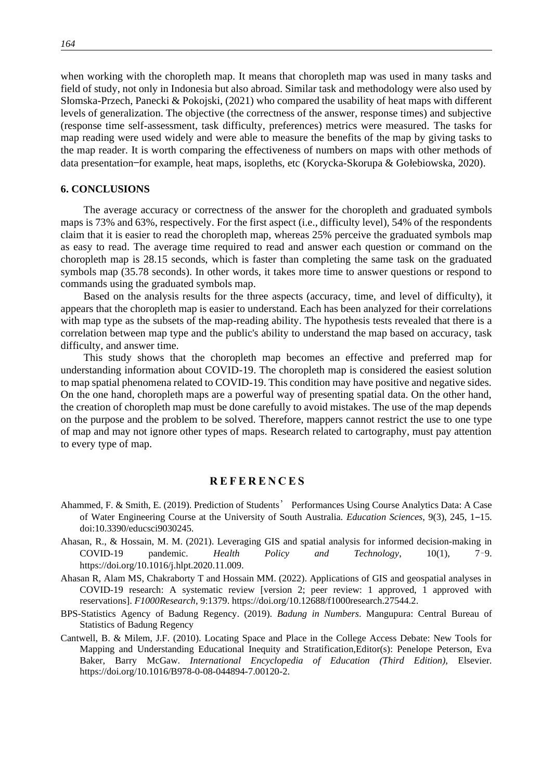when working with the choropleth map. It means that choropleth map was used in many tasks and field of study, not only in Indonesia but also abroad. Similar task and methodology were also used by Słomska-Przech, Panecki & Pokojski, (2021) who compared the usability of heat maps with different levels of generalization. The objective (the correctness of the answer, response times) and subjective (response time self-assessment, task difficulty, preferences) metrics were measured. The tasks for map reading were used widely and were able to measure the benefits of the map by giving tasks to the map reader. It is worth comparing the effectiveness of numbers on maps with other methods of data presentation—for example, heat maps, isopleths, etc (Korycka-Skorupa & Gołebiowska, 2020).

## **6. CONCLUSIONS**

The average accuracy or correctness of the answer for the choropleth and graduated symbols maps is 73% and 63%, respectively. For the first aspect (i.e., difficulty level), 54% of the respondents claim that it is easier to read the choropleth map, whereas 25% perceive the graduated symbols map as easy to read. The average time required to read and answer each question or command on the choropleth map is 28.15 seconds, which is faster than completing the same task on the graduated symbols map (35.78 seconds). In other words, it takes more time to answer questions or respond to commands using the graduated symbols map.

Based on the analysis results for the three aspects (accuracy, time, and level of difficulty), it appears that the choropleth map is easier to understand. Each has been analyzed for their correlations with map type as the subsets of the map-reading ability. The hypothesis tests revealed that there is a correlation between map type and the public's ability to understand the map based on accuracy, task difficulty, and answer time.

This study shows that the choropleth map becomes an effective and preferred map for understanding information about COVID-19. The choropleth map is considered the easiest solution to map spatial phenomena related to COVID-19. This condition may have positive and negative sides. On the one hand, choropleth maps are a powerful way of presenting spatial data. On the other hand, the creation of choropleth map must be done carefully to avoid mistakes. The use of the map depends on the purpose and the problem to be solved. Therefore, mappers cannot restrict the use to one type of map and may not ignore other types of maps. Research related to cartography, must pay attention to every type of map.

# **R E F E R E N C E S**

- Ahammed, F. & Smith, E. (2019). Prediction of Students' Performances Using Course Analytics Data: A Case of Water Engineering Course at the University of South Australia. *Education Sciences*, 9(3), 245, 1‒15. doi:10.3390/educsci9030245.
- Ahasan, R., & Hossain, M. M. (2021). Leveraging GIS and spatial analysis for informed decision-making in COVID-19 pandemic. *Health Policy and Technology*, 10(1), 7–9. https://doi.org/10.1016/j.hlpt.2020.11.009.
- Ahasan R, Alam MS, Chakraborty T and Hossain MM. (2022). Applications of GIS and geospatial analyses in COVID-19 research: A systematic review [version 2; peer review: 1 approved, 1 approved with reservations]. *F1000Research*, 9:1379. https://doi.org/10.12688/f1000research.27544.2.
- BPS-Statistics Agency of Badung Regency. (2019). *Badung in Numbers*. Mangupura: Central Bureau of Statistics of Badung Regency
- Cantwell, B. & Milem, J.F. (2010). Locating Space and Place in the College Access Debate: New Tools for Mapping and Understanding Educational Inequity and Stratification,Editor(s): Penelope Peterson, Eva Baker, Barry McGaw. *International Encyclopedia of Education (Third Edition),* Elsevier. https://doi.org/10.1016/B978-0-08-044894-7.00120-2.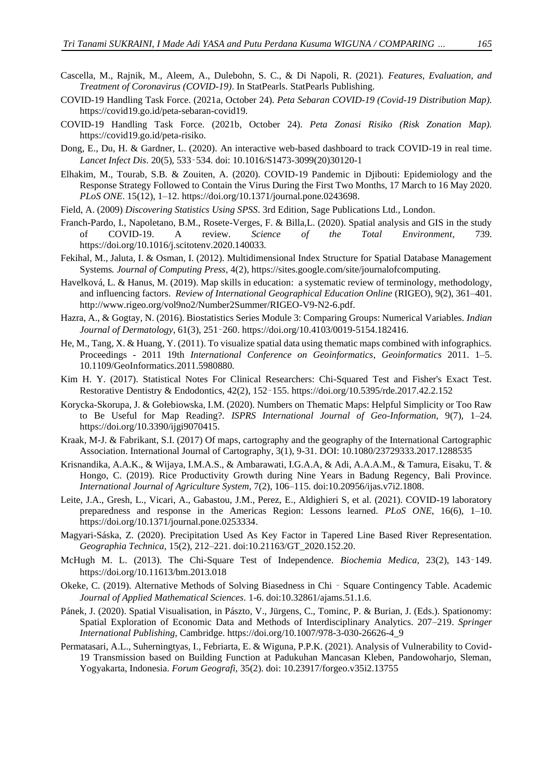- Cascella, M., Rajnik, M., Aleem, A., Dulebohn, S. C., & Di Napoli, R. (2021). *Features, Evaluation, and Treatment of Coronavirus (COVID-19)*. In StatPearls. StatPearls Publishing.
- COVID-19 Handling Task Force. (2021a, October 24). *Peta Sebaran COVID-19 (Covid-19 Distribution Map).* https://covid19.go.id/peta-sebaran-covid19.
- COVID-19 Handling Task Force. (2021b, October 24). *Peta Zonasi Risiko (Risk Zonation Map).* https://covid19.go.id/peta-risiko.
- Dong, E., Du, H. & Gardner, L. (2020). An interactive web-based dashboard to track COVID-19 in real time. *Lancet Infect Dis*. 20(5), 533–534. doi: 10.1016/S1473-3099(20)30120-1
- Elhakim, M., Tourab, S.B. & Zouiten, A. (2020). COVID-19 Pandemic in Djibouti: Epidemiology and the Response Strategy Followed to Contain the Virus During the First Two Months, 17 March to 16 May 2020. *PLoS ONE*. 15(12), 1–12. https://doi.org/10.1371/journal.pone.0243698.
- Field, A. (2009) *Discovering Statistics Using SPSS*. 3rd Edition, Sage Publications Ltd., London.
- Franch-Pardo, I., Napoletano, B.M., Rosete-Verges, F. & Billa,L. (2020). Spatial analysis and GIS in the study of COVID-19. A review. *Science of the Total Environment*, 739. https://doi.org/10.1016/j.scitotenv.2020.140033.
- Fekihal, M., Jaluta, I. & Osman, I. (2012). Multidimensional Index Structure for Spatial Database Management Systems*. Journal of Computing Press*, 4(2), https://sites.google.com/site/journalofcomputing.
- Havelková, L. & Hanus, M. (2019). Map skills in education: a systematic review of terminology, methodology, and influencing factors. *Review of International Geographical Education Online* (RIGEO), 9(2), 361–401. http://www.rigeo.org/vol9no2/Number2Summer/RIGEO-V9-N2-6.pdf.
- Hazra, A., & Gogtay, N. (2016). Biostatistics Series Module 3: Comparing Groups: Numerical Variables. *Indian Journal of Dermatology*, 61(3), 251–260. https://doi.org/10.4103/0019-5154.182416.
- He, M., Tang, X. & Huang, Y. (2011). To visualize spatial data using thematic maps combined with infographics. Proceedings - 2011 19th *International Conference on Geoinformatics*, *Geoinformatics* 2011. 1‒5. 10.1109/GeoInformatics.2011.5980880.
- Kim H. Y. (2017). Statistical Notes For Clinical Researchers: Chi-Squared Test and Fisher's Exact Test. Restorative Dentistry & Endodontics, 42(2), 152–155. https://doi.org/10.5395/rde.2017.42.2.152
- Korycka-Skorupa, J. & Gołebiowska, I.M. (2020). Numbers on Thematic Maps: Helpful Simplicity or Too Raw to Be Useful for Map Reading?. *ISPRS International Journal of Geo-Information*, 9(7), 1‒24. https://doi.org/10.3390/ijgi9070415.
- Kraak, M-J. & Fabrikant, S.I. (2017) Of maps, cartography and the geography of the International Cartographic Association. International Journal of Cartography, 3(1), 9-31. DOI: 10.1080/23729333.2017.1288535
- Krisnandika, A.A.K., & Wijaya, I.M.A.S., & Ambarawati, I.G.A.A, & Adi, A.A.A.M., & Tamura, Eisaku, T. & Hongo, C. (2019). Rice Productivity Growth during Nine Years in Badung Regency, Bali Province. *International Journal of Agriculture System*, 7(2), 106‒115. doi:10.20956/ijas.v7i2.1808.
- Leite, J.A., Gresh, L., Vicari, A., Gabastou, J.M., Perez, E., Aldighieri S, et al. (2021). COVID-19 laboratory preparedness and response in the Americas Region: Lessons learned. *PLoS ONE*, 16(6), 1–10. https://doi.org/10.1371/journal.pone.0253334.
- Magyari-Sáska, Z. (2020). Precipitation Used As Key Factor in Tapered Line Based River Representation*. Geographia Technica,* 15(2), 212‒221. doi:10.21163/GT\_2020.152.20.
- McHugh M. L. (2013). The Chi-Square Test of Independence. *Biochemia Medica*, 23(2), 143–149. https://doi.org/10.11613/bm.2013.018
- Okeke, C. (2019). Alternative Methods of Solving Biasedness in Chi Square Contingency Table. Academic *Journal of Applied Mathematical Sciences*. 1-6. doi:10.32861/ajams.51.1.6.
- Pánek, J. (2020). Spatial Visualisation, in Pászto, V., Jürgens, C., Tominc, P. & Burian, J. (Eds.). Spationomy: Spatial Exploration of Economic Data and Methods of Interdisciplinary Analytics. 207-219. *Springer International Publishing*, Cambridge. https://doi.org/10.1007/978-3-030-26626-4\_9
- Permatasari, A.L., Suherningtyas, I., Febriarta, E. & Wiguna, P.P.K. (2021). Analysis of Vulnerability to Covid-19 Transmission based on Building Function at Padukuhan Mancasan Kleben, Pandowoharjo, Sleman, Yogyakarta, Indonesia. *Forum Geografi*, 35(2). doi: 10.23917/forgeo.v35i2.13755